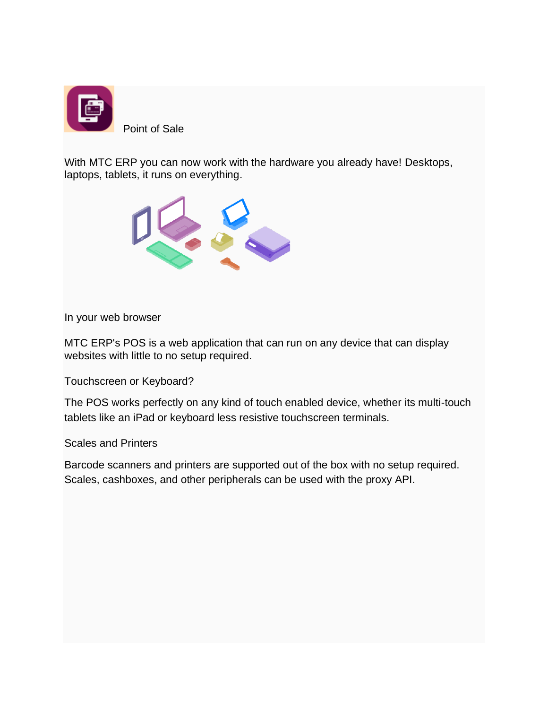

With MTC ERP you can now work with the hardware you already have! Desktops, laptops, tablets, it runs on everything.



In your web browser

MTC ERP's POS is a web application that can run on any device that can display websites with little to no setup required.

Touchscreen or Keyboard?

The POS works perfectly on any kind of touch enabled device, whether its multi-touch tablets like an iPad or keyboard less resistive touchscreen terminals.

Scales and Printers

Barcode scanners and printers are supported out of the box with no setup required. Scales, cashboxes, and other peripherals can be used with the proxy API.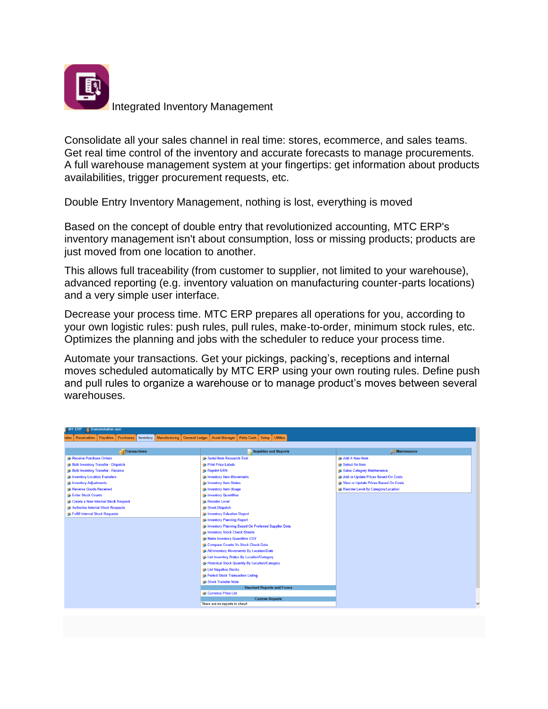

Integrated Inventory Management

Consolidate all your sales channel in real time: stores, ecommerce, and sales teams. Get real time control of the inventory and accurate forecasts to manage procurements. A full warehouse management system at your fingertips: get information about products availabilities, trigger procurement requests, etc.

Double Entry Inventory Management, nothing is lost, everything is moved

Based on the concept of double entry that revolutionized accounting, MTC ERP's inventory management isn't about consumption, loss or missing products; products are just moved from one location to another.

This allows full traceability (from customer to supplier, not limited to your warehouse), advanced reporting (e.g. inventory valuation on manufacturing counter-parts locations) and a very simple user interface.

Decrease your process time. MTC ERP prepares all operations for you, according to your own logistic rules: push rules, pull rules, make-to-order, minimum stock rules, etc. Optimizes the planning and jobs with the scheduler to reduce your process time.

Automate your transactions. Get your pickings, packing's, receptions and internal moves scheduled automatically by MTC ERP using your own routing rules. Define push and pull rules to organize a warehouse or to manage product's moves between several warehouses.

| <b>MY ERP</b><br>Demonstration user                                                                                                                                      |                                                     |                                      |  |
|--------------------------------------------------------------------------------------------------------------------------------------------------------------------------|-----------------------------------------------------|--------------------------------------|--|
| <b>Utilities</b><br>Payables<br>Purchases<br>Manufacturing<br><b>General Ledger</b><br>Petty Cash   Setup  <br>Receivables<br>Inventory<br><b>Asset Manager</b><br>iales |                                                     |                                      |  |
|                                                                                                                                                                          |                                                     |                                      |  |
| <b>Transactions</b>                                                                                                                                                      | <b>Inquiries and Reports</b>                        | Maintenance                          |  |
| Receive Purchase Orders                                                                                                                                                  | Serial Item Research Tool                           | Add A New Item                       |  |
| Bulk Inventory Transfer - Dispatch                                                                                                                                       | Print Price Labels                                  | Select An Item                       |  |
| <b>Bulk Inventory Transfer - Receive</b>                                                                                                                                 | Reprint GRN                                         | Sales Category Maintenance           |  |
| Inventory Location Transfers                                                                                                                                             | Inventory Item Movements                            | Add or Update Prices Based On Costs  |  |
| Inventory Adjustments                                                                                                                                                    | Inventory Item Status                               | View or Update Prices Based On Costs |  |
| Reverse Goods Received                                                                                                                                                   | Inventory Item Usage                                | Reorder Level By Category/Location   |  |
| Enter Stock Counts                                                                                                                                                       | Inventory Quantities                                |                                      |  |
| Create a New Internal Stock Request                                                                                                                                      | Reorder Level                                       |                                      |  |
| Authorise Internal Stock Requests                                                                                                                                        | Stock Dispatch                                      |                                      |  |
| Fulfill Internal Stock Requests                                                                                                                                          | Inventory Valuation Report                          |                                      |  |
|                                                                                                                                                                          | Inventory Planning Report                           |                                      |  |
|                                                                                                                                                                          | Inventory Planning Based On Preferred Supplier Data |                                      |  |
|                                                                                                                                                                          | Inventory Stock Check Sheets                        |                                      |  |
|                                                                                                                                                                          | Make Inventory Quantities CSV                       |                                      |  |
|                                                                                                                                                                          | Compare Counts Vs Stock Check Data                  |                                      |  |
|                                                                                                                                                                          | All Inventory Movements By Location/Date            |                                      |  |
| Eist Inventory Status By Location/Category                                                                                                                               |                                                     |                                      |  |
|                                                                                                                                                                          | Historical Stock Quantity By Location/Category      |                                      |  |
|                                                                                                                                                                          | List Negative Stocks                                |                                      |  |
|                                                                                                                                                                          | Period Stock Transaction Listing                    |                                      |  |
|                                                                                                                                                                          | Stock Transfer Note                                 |                                      |  |
| <b>Standard Reports and Forms</b>                                                                                                                                        |                                                     |                                      |  |
| Currency Price List<br><b>Custom Reports</b>                                                                                                                             |                                                     |                                      |  |
|                                                                                                                                                                          | There are no reports to show!                       |                                      |  |
|                                                                                                                                                                          |                                                     |                                      |  |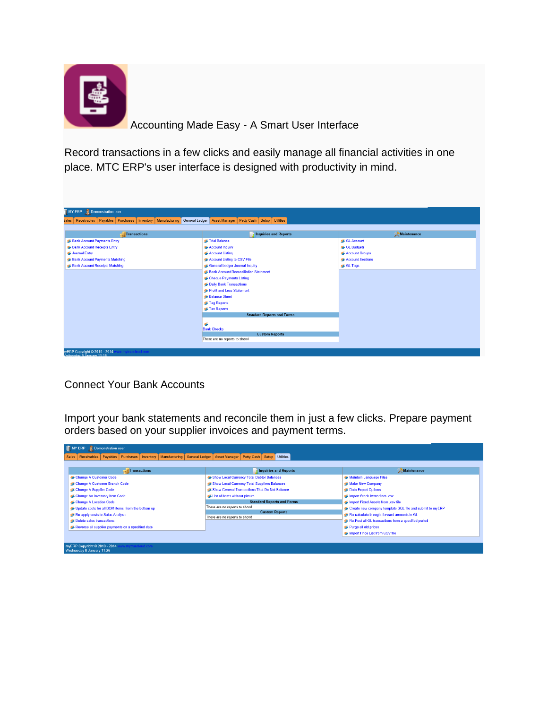

Accounting Made Easy - A Smart User Interface

Record transactions in a few clicks and easily manage all financial activities in one place. MTC ERP's user interface is designed with productivity in mind.

| Demonstration user<br>II MY ERP                                          |                                                                   |                    |
|--------------------------------------------------------------------------|-------------------------------------------------------------------|--------------------|
| Receivables   Payables   Purchases   Inventory<br>Manufacturing<br>iales | Petty Cash   Setup   Utilities<br>General Ledger<br>Asset Manager |                    |
| Transactions                                                             | <b>Inquiries and Reports</b>                                      | <b>Maintenance</b> |
| <b>S</b> Bank Account Payments Entry                                     | Trial Balance                                                     | GL Account         |
| <b>Bank Account Receipts Entry</b>                                       | Account Inquiry                                                   | GL Budgets         |
| SJournal Entry                                                           | Account Listing                                                   | Account Groups     |
| <b>S</b> Bank Account Payments Matching                                  | Account Listing to CSV File                                       | Account Sections   |
| <b>Bank Account Receipts Matching</b>                                    | General Ledger Journal Inquiry                                    | GL Tags            |
|                                                                          | <b>Bank Account Reconciliation Statement</b>                      |                    |
|                                                                          | Cheque Payments Listing                                           |                    |
|                                                                          | S Daily Bank Transactions                                         |                    |
|                                                                          | Profit and Loss Statement                                         |                    |
|                                                                          | Balance Sheet                                                     |                    |
|                                                                          | <sup>5</sup> Tag Reports                                          |                    |
|                                                                          | Tax Reports                                                       |                    |
|                                                                          | <b>Standard Reports and Forms</b>                                 |                    |
|                                                                          | ø                                                                 |                    |
|                                                                          | <b>Bank Checks</b>                                                |                    |
|                                                                          | <b>Custom Reports</b>                                             |                    |
|                                                                          | There are no reports to show!                                     |                    |

Connect Your Bank Accounts

Import your bank statements and reconcile them in just a few clicks. Prepare payment orders based on your supplier invoices and payment terms.

| MY ERP Demonstration user                                                                                                                                                                                                              |                                                                                                                                                                                                                                                                            |                                                                                                                                                                                                                                                    |  |
|----------------------------------------------------------------------------------------------------------------------------------------------------------------------------------------------------------------------------------------|----------------------------------------------------------------------------------------------------------------------------------------------------------------------------------------------------------------------------------------------------------------------------|----------------------------------------------------------------------------------------------------------------------------------------------------------------------------------------------------------------------------------------------------|--|
| Asset Manager   Petty Cash   Setup   Utilities<br>Receivables   Payables   Purchases   Inventory   Manufacturing   General Ledger<br><b>Sales</b>                                                                                      |                                                                                                                                                                                                                                                                            |                                                                                                                                                                                                                                                    |  |
| Transactions                                                                                                                                                                                                                           | <b>Inquiries and Reports</b>                                                                                                                                                                                                                                               | <b>Maintenance</b>                                                                                                                                                                                                                                 |  |
| Change A Customer Code<br>Change A Customer Branch Code<br>Change A Supplier Code<br>Change An Inventory Item Code<br>Change A Location Code<br>Update costs for all BOM items, from the bottom up<br>Re-apply costs to Sales Analysis | Show Local Currency Total Debtor Balances<br>Show Local Currency Total Suppliers Balances<br>Show General Transactions That Do Not Balance<br>List of items without picture<br><b>Standard Reports and Forms</b><br>There are no reports to show!<br><b>Custom Reports</b> | Maintain Language Files<br>Make New Company<br>Data Export Options<br>Import Stock Items from .csv<br>Import Fixed Assets from .csv file<br>Create new company template SQL file and submit to myERP<br>Re-calculate brought forward amounts in GL |  |
| Delete sales transactions<br>Reverse all supplier payments on a specified date<br>myERP Copyright @ 2010 - 2014<br>vtruecloud.com<br>Wednesday 8 January 11:26                                                                         | There are no reports to show!                                                                                                                                                                                                                                              | Re-Post all GL transactions from a specified period<br>Purge all old prices<br>Import Price List from CSV file                                                                                                                                     |  |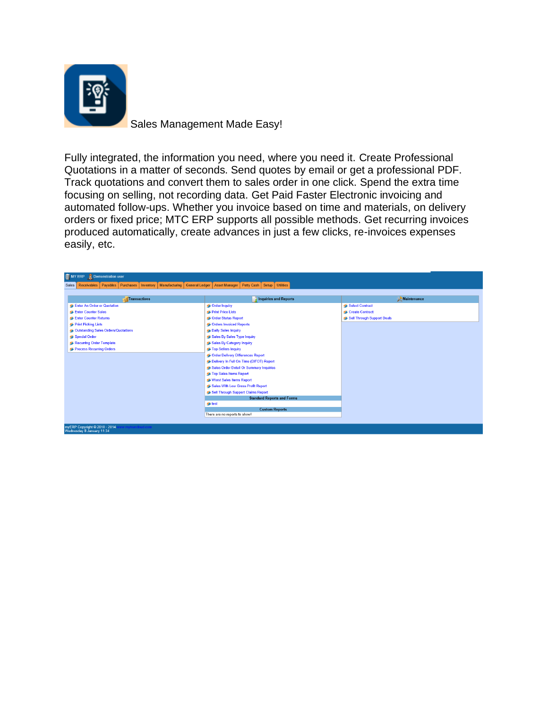

Sales Management Made Easy!

Fully integrated, the information you need, where you need it. Create Professional Quotations in a matter of seconds. Send quotes by email or get a professional PDF. Track quotations and convert them to sales order in one click. Spend the extra time focusing on selling, not recording data. Get Paid Faster Electronic invoicing and automated follow-ups. Whether you invoice based on time and materials, on delivery orders or fixed price; MTC ERP supports all possible methods. Get recurring invoices produced automatically, create advances in just a few clicks, re-invoices expenses easily, etc.

| <b>III</b> MY ERP<br>Demonstration user                                                                                                                 |                                         |                            |  |
|---------------------------------------------------------------------------------------------------------------------------------------------------------|-----------------------------------------|----------------------------|--|
| Setup   Utilities<br>Payables   Purchases<br>Manufacturing<br>General Ledger<br><b>Asset Manager</b><br>Petty Cash<br>Receivables<br>Inventory<br>Sales |                                         |                            |  |
|                                                                                                                                                         |                                         |                            |  |
| <b>Transactions</b>                                                                                                                                     | <b>Inquiries and Reports</b>            | Maintenance<br>y           |  |
| Enter An Order or Quotation                                                                                                                             | Order Inquiry                           | Select Contract            |  |
| Enter Counter Sales                                                                                                                                     | Print Price Lists                       | Create Contract            |  |
| Enter Counter Returns                                                                                                                                   | Order Status Report                     | Sell Through Support Deals |  |
| Print Picking Lists                                                                                                                                     | Orders Invoiced Reports                 |                            |  |
| <b>Coutstanding Sales Orders/Quotations</b>                                                                                                             | Daily Sales Inquiry                     |                            |  |
| Special Order                                                                                                                                           | Sales By Sales Type Inquiry             |                            |  |
| Recurring Order Template                                                                                                                                | Sales By Category Inquiry               |                            |  |
| Process Recurring Orders                                                                                                                                | Top Sellers Inquiry                     |                            |  |
|                                                                                                                                                         | Order Delivery Differences Report       |                            |  |
|                                                                                                                                                         | Delivery In Full On Time (DIFOT) Report |                            |  |
|                                                                                                                                                         | Sales Order Detail Or Summary Inquiries |                            |  |
|                                                                                                                                                         | Top Sales Items Report                  |                            |  |
|                                                                                                                                                         | Worst Sales Items Report                |                            |  |
|                                                                                                                                                         | Sales With Low Gross Profit Report      |                            |  |
|                                                                                                                                                         | Sell Through Support Claims Report      |                            |  |
| <b>Standard Reports and Forms</b><br><b>Stest</b><br><b>Custom Reports</b>                                                                              |                                         |                            |  |
|                                                                                                                                                         |                                         |                            |  |
|                                                                                                                                                         |                                         |                            |  |
| There are no reports to show!                                                                                                                           |                                         |                            |  |
|                                                                                                                                                         |                                         |                            |  |
| myERP Copyright © 2010 - 2014                                                                                                                           |                                         |                            |  |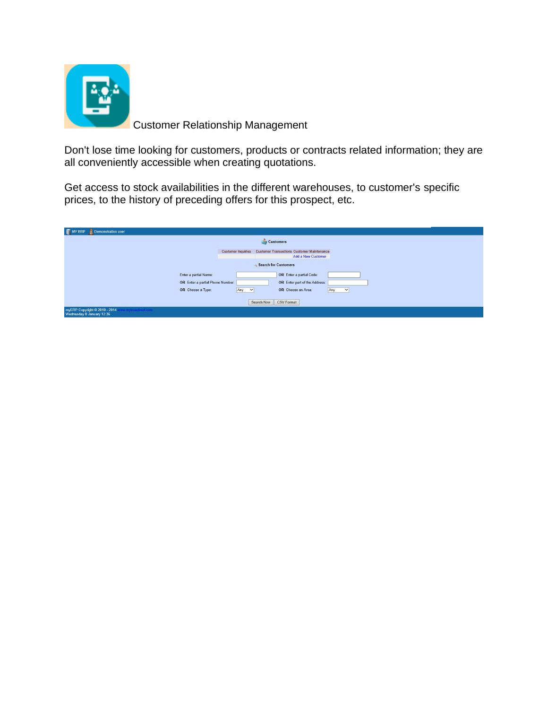

Customer Relationship Management

Don't lose time looking for customers, products or contracts related information; they are all conveniently accessible when creating quotations.

Get access to stock availabilities in the different warehouses, to customer's specific prices, to the history of preceding offers for this prospect, etc.

| III MY<br>Demonstration user<br>ERP.                                           |                     |                                                               |
|--------------------------------------------------------------------------------|---------------------|---------------------------------------------------------------|
| Customers                                                                      |                     |                                                               |
|                                                                                |                     | Customer Inquiries Customer Transactions Customer Maintenance |
|                                                                                |                     | <b>Add a New Customer</b>                                     |
| <b>Search for Customers</b>                                                    |                     |                                                               |
| Enter a partial Name:                                                          |                     | OR Enter a partial Code:                                      |
| OR Enter a partial Phone Number:                                               |                     | OR Enter part of the Address:                                 |
| OR Choose a Type:                                                              | Any<br>$\checkmark$ | OR Choose an Area:<br>Any<br>$\checkmark$                     |
|                                                                                |                     | <b>CSV Format</b><br>Search Now                               |
| myERP Copyright @ 2010 - 2014<br>.mytruecloud.com<br>Wednesday 8 January 12:36 |                     |                                                               |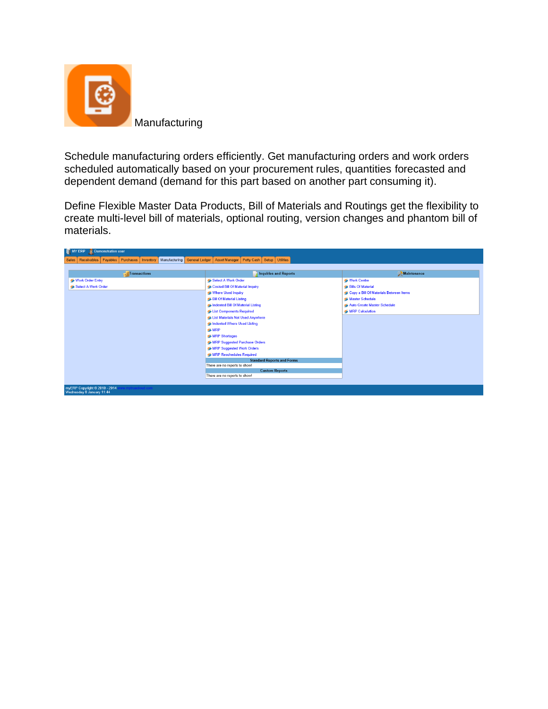

Schedule manufacturing orders efficiently. Get manufacturing orders and work orders scheduled automatically based on your procurement rules, quantities forecasted and dependent demand (demand for this part based on another part consuming it).

Define Flexible Master Data Products, Bill of Materials and Routings get the flexibility to create multi-level bill of materials, optional routing, version changes and phantom bill of materials.

| MY ERP Demonstration user                                                                                                                   |                                                        |                                        |  |
|---------------------------------------------------------------------------------------------------------------------------------------------|--------------------------------------------------------|----------------------------------------|--|
| Petty Cash   Setup   Utilities  <br>Payables Purchases   Inventory   Manufacturing   General Ledger<br>Asset Manager<br>Sales   Receivables |                                                        |                                        |  |
|                                                                                                                                             |                                                        |                                        |  |
| Transactions                                                                                                                                | <b>Inquiries and Reports</b>                           | <b>Maintenance</b>                     |  |
| Work Order Entry                                                                                                                            | Select A Work Order                                    | Work Centre                            |  |
| Select A Work Order                                                                                                                         | Costed Bill Of Material Inquiry                        | <b>S</b> Bills Of Material             |  |
|                                                                                                                                             | Where Used Inquiry                                     | Copy a Bill Of Materials Between Items |  |
|                                                                                                                                             | <b>Bill Of Material Listing</b>                        | Master Schedule                        |  |
|                                                                                                                                             | Indented Bill Of Material Listing                      | Auto Create Master Schedule            |  |
|                                                                                                                                             | List Components Required                               | <b>MRP Calculation</b>                 |  |
|                                                                                                                                             | List Materials Not Used Anywhere                       |                                        |  |
|                                                                                                                                             | Indented Where Used Listing                            |                                        |  |
| <b>SMRP</b>                                                                                                                                 |                                                        |                                        |  |
|                                                                                                                                             | MRP Shortages                                          |                                        |  |
|                                                                                                                                             | MRP Suggested Purchase Orders                          |                                        |  |
|                                                                                                                                             | MRP Suggested Work Orders                              |                                        |  |
|                                                                                                                                             | <b>SMRP Reschedules Required</b>                       |                                        |  |
| <b>Standard Reports and Forms</b>                                                                                                           |                                                        |                                        |  |
| There are no reports to show!                                                                                                               |                                                        |                                        |  |
|                                                                                                                                             | <b>Custom Reports</b><br>There are no reports to show! |                                        |  |
|                                                                                                                                             |                                                        |                                        |  |
| myERP Copyright @ 2010 - 2014<br>Wednesday 8 January 11:44                                                                                  |                                                        |                                        |  |